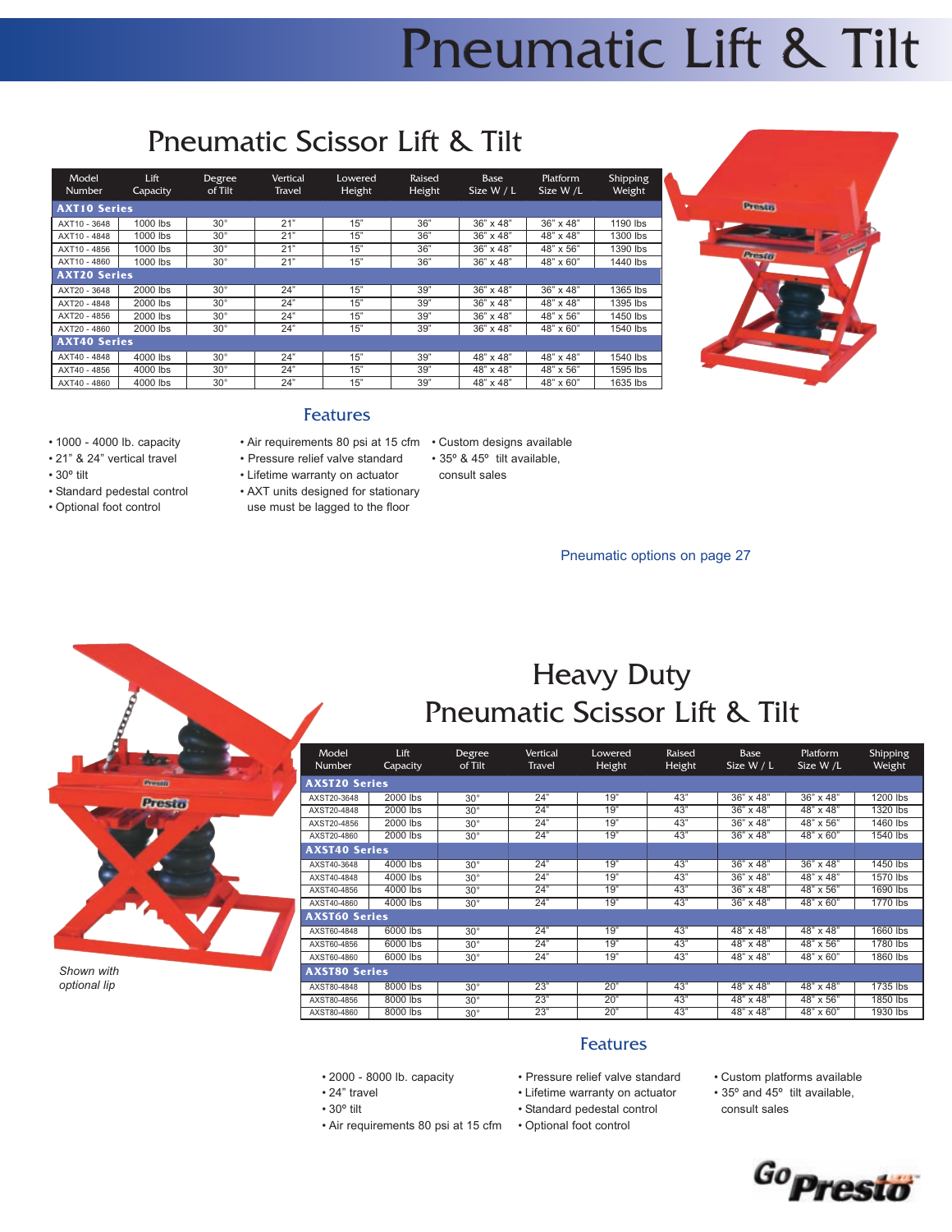## Heavy Duty Pneumatic Scissor Lift & Tilt

| Model<br><b>Number</b> | Lift<br>Capacity | Degree<br>of Tilt | <b>Vertical</b><br>Travel | Lowered<br>Height | Raised<br>Height | Base<br>Size W / L | <b>Platform</b><br>Size W /L | <b>Shipping</b><br>Weight |
|------------------------|------------------|-------------------|---------------------------|-------------------|------------------|--------------------|------------------------------|---------------------------|
| <b>AXST20 Series</b>   |                  |                   |                           |                   |                  |                    |                              |                           |
| AXST20-3648            | 2000 lbs         | $30^\circ$        | 24"                       | 19"               | 43"              | 36" x 48"          | 36" x 48"                    | 1200 lbs                  |
| AXST20-4848            | 2000 lbs         | $30^\circ$        | 24"                       | 19"               | 43"              | 36" x 48"          | 48" x 48"                    | 1320 lbs                  |
| AXST20-4856            | 2000 lbs         | $30^{\circ}$      | 24"                       | 19"               | 43"              | 36" x 48"          | 48" x 56"                    | 1460 lbs                  |
| AXST20-4860            | 2000 lbs         | $30^\circ$        | 24"                       | 19"               | 43"              | 36" x 48"          | 48" x 60"                    | 1540 lbs                  |
| <b>AXST40 Series</b>   |                  |                   |                           |                   |                  |                    |                              |                           |
| AXST40-3648            | 4000 lbs         | $30^\circ$        | 24"                       | 19"               | 43"              | 36" x 48"          | $36" \times 48"$             | 1450 lbs                  |
| AXST40-4848            | 4000 lbs         | $30^{\circ}$      | 24"                       | 19"               | 43"              | $36" \times 48"$   | 48" x 48"                    | 1570 lbs                  |
| AXST40-4856            | 4000 lbs         | $30^{\circ}$      | 24"                       | 19"               | 43"              | 36" x 48"          | 48" x 56"                    | 1690 lbs                  |
| AXST40-4860            | 4000 lbs         | $30^{\circ}$      | 24"                       | 19"               | 43"              | 36" x 48"          | 48" x 60"                    | 1770 lbs                  |
| <b>AXST60 Series</b>   |                  |                   |                           |                   |                  |                    |                              |                           |
| AXST60-4848            | 6000 lbs         | $30^\circ$        | 24"                       | 19"               | 43"              | 48" x 48"          | $48" \times 48"$             | 1660 lbs                  |
| AXST60-4856            | 6000 lbs         | $30^{\circ}$      | 24"                       | 19"               | 43"              | 48" x 48"          | 48" x 56"                    | 1780 lbs                  |
| AXST60-4860            | 6000 lbs         | $30^\circ$        | 24"                       | 19"               | 43"              | 48" x 48"          | 48" x 60"                    | 1860 lbs                  |
| <b>AXST80 Series</b>   |                  |                   |                           |                   |                  |                    |                              |                           |
| AXST80-4848            | 8000 lbs         | $30^\circ$        | 23"                       | 20"               | 43"              | 48" x 48"          | 48" x 48"                    | 1735 lbs                  |
| AXST80-4856            | 8000 lbs         | $30^\circ$        | 23"                       | 20"               | 43"              | 48" x 48"          | 48" x 56"                    | 1850 lbs                  |
| AXST80-4860            | 8000 lbs         | $30^{\circ}$      | 23"                       | 20"               | 43"              | 48" x 48"          | 48" x 60"                    | 1930 lbs                  |

- 2000 8000 lb. capacity
- 24" travel
- $\cdot$  30 $^{\circ}$  tilt
- Air requirements 80 psi at 15 cfm
- Pressure relief valve standard Features

• Lifetime warranty on actuator • Standard pedestal control • Optional foot control

- Custom platforms available
- 35º and 45º tilt available, consult sales



|            | Preside |  |
|------------|---------|--|
|            | Presto  |  |
|            |         |  |
|            |         |  |
|            |         |  |
|            |         |  |
|            |         |  |
| Shown with |         |  |

*optional lip*